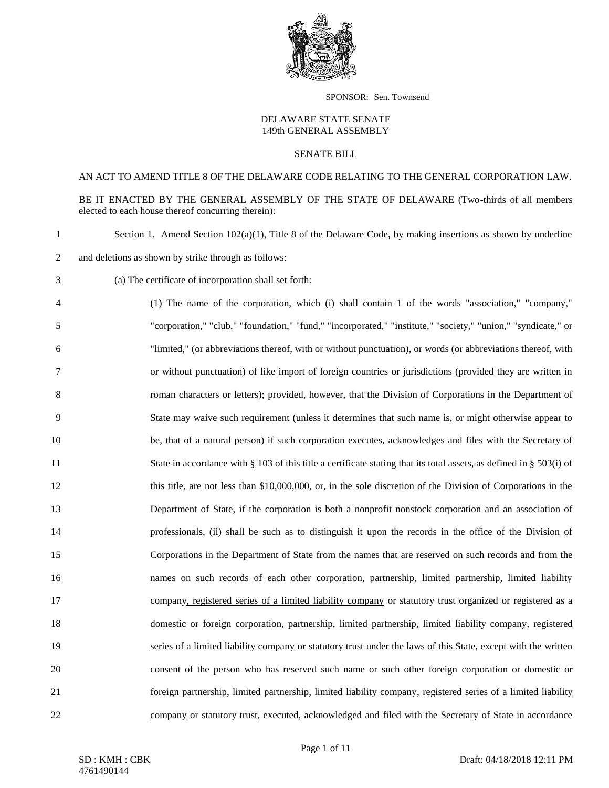

SPONSOR: Sen. Townsend

## DELAWARE STATE SENATE 149th GENERAL ASSEMBLY

## SENATE BILL

AN ACT TO AMEND TITLE 8 OF THE DELAWARE CODE RELATING TO THE GENERAL CORPORATION LAW. BE IT ENACTED BY THE GENERAL ASSEMBLY OF THE STATE OF DELAWARE (Two-thirds of all members elected to each house thereof concurring therein):

1 Section 1. Amend Section 102(a)(1), Title 8 of the Delaware Code, by making insertions as shown by underline 2 and deletions as shown by strike through as follows:

3 (a) The certificate of incorporation shall set forth:

 (1) The name of the corporation, which (i) shall contain 1 of the words "association," "company," "corporation," "club," "foundation," "fund," "incorporated," "institute," "society," "union," "syndicate," or "limited," (or abbreviations thereof, with or without punctuation), or words (or abbreviations thereof, with or without punctuation) of like import of foreign countries or jurisdictions (provided they are written in 8 roman characters or letters); provided, however, that the Division of Corporations in the Department of State may waive such requirement (unless it determines that such name is, or might otherwise appear to be, that of a natural person) if such corporation executes, acknowledges and files with the Secretary of 11 State in accordance with § 103 of this title a certificate stating that its total assets, as defined in § 503(i) of this title, are not less than \$10,000,000, or, in the sole discretion of the Division of Corporations in the Department of State, if the corporation is both a nonprofit nonstock corporation and an association of professionals, (ii) shall be such as to distinguish it upon the records in the office of the Division of Corporations in the Department of State from the names that are reserved on such records and from the names on such records of each other corporation, partnership, limited partnership, limited liability 17 company, registered series of a limited liability company or statutory trust organized or registered as a 18 domestic or foreign corporation, partnership, limited partnership, limited liability company, registered series of a limited liability company or statutory trust under the laws of this State, except with the written consent of the person who has reserved such name or such other foreign corporation or domestic or foreign partnership, limited partnership, limited liability company, registered series of a limited liability 22 company or statutory trust, executed, acknowledged and filed with the Secretary of State in accordance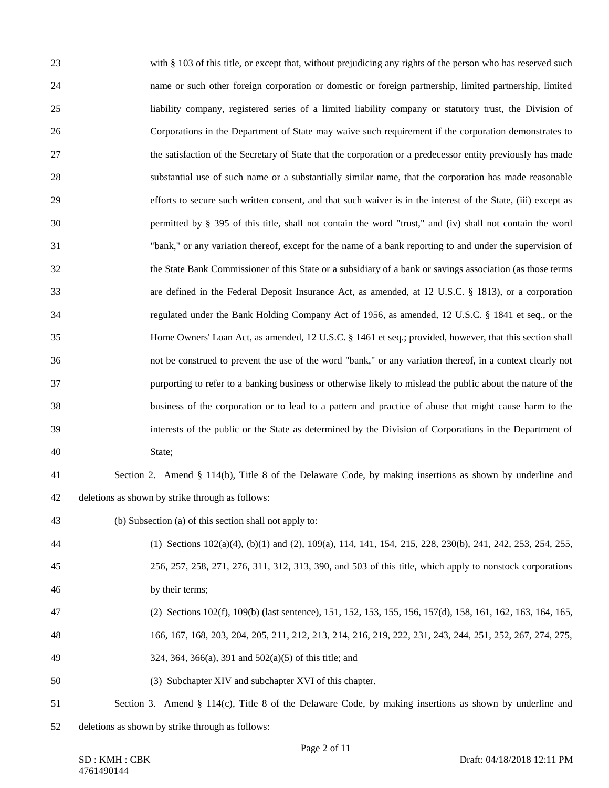| 23 | with § 103 of this title, or except that, without prejudicing any rights of the person who has reserved such    |
|----|-----------------------------------------------------------------------------------------------------------------|
| 24 | name or such other foreign corporation or domestic or foreign partnership, limited partnership, limited         |
| 25 | liability company, registered series of a limited liability company or statutory trust, the Division of         |
| 26 | Corporations in the Department of State may waive such requirement if the corporation demonstrates to           |
| 27 | the satisfaction of the Secretary of State that the corporation or a predecessor entity previously has made     |
| 28 | substantial use of such name or a substantially similar name, that the corporation has made reasonable          |
| 29 | efforts to secure such written consent, and that such waiver is in the interest of the State, (iii) except as   |
| 30 | permitted by § 395 of this title, shall not contain the word "trust," and (iv) shall not contain the word       |
| 31 | "bank," or any variation thereof, except for the name of a bank reporting to and under the supervision of       |
| 32 | the State Bank Commissioner of this State or a subsidiary of a bank or savings association (as those terms      |
| 33 | are defined in the Federal Deposit Insurance Act, as amended, at 12 U.S.C. § 1813), or a corporation            |
| 34 | regulated under the Bank Holding Company Act of 1956, as amended, 12 U.S.C. § 1841 et seq., or the              |
| 35 | Home Owners' Loan Act, as amended, 12 U.S.C. § 1461 et seq.; provided, however, that this section shall         |
| 36 | not be construed to prevent the use of the word "bank," or any variation thereof, in a context clearly not      |
| 37 | purporting to refer to a banking business or otherwise likely to mislead the public about the nature of the     |
| 38 | business of the corporation or to lead to a pattern and practice of abuse that might cause harm to the          |
| 39 | interests of the public or the State as determined by the Division of Corporations in the Department of         |
| 40 | State;                                                                                                          |
| 41 | Section 2. Amend § 114(b), Title 8 of the Delaware Code, by making insertions as shown by underline and         |
| 42 | deletions as shown by strike through as follows:                                                                |
| 43 | (b) Subsection (a) of this section shall not apply to:                                                          |
| 44 | (1) Sections $102(a)(4)$ , (b)(1) and (2), $109(a)$ , 114, 141, 154, 215, 228, 230(b), 241, 242, 253, 254, 255, |
| 45 | 256, 257, 258, 271, 276, 311, 312, 313, 390, and 503 of this title, which apply to nonstock corporations        |
| 46 | by their terms;                                                                                                 |
| 47 | (2) Sections 102(f), 109(b) (last sentence), 151, 152, 153, 155, 156, 157(d), 158, 161, 162, 163, 164, 165,     |
| 48 | 166, 167, 168, 203, 204, 205, 211, 212, 213, 214, 216, 219, 222, 231, 243, 244, 251, 252, 267, 274, 275,        |
| 49 | 324, 364, 366(a), 391 and 502(a)(5) of this title; and                                                          |
| 50 | (3) Subchapter XIV and subchapter XVI of this chapter.                                                          |
| 51 | Section 3. Amend § 114(c), Title 8 of the Delaware Code, by making insertions as shown by underline and         |
| 52 | deletions as shown by strike through as follows:                                                                |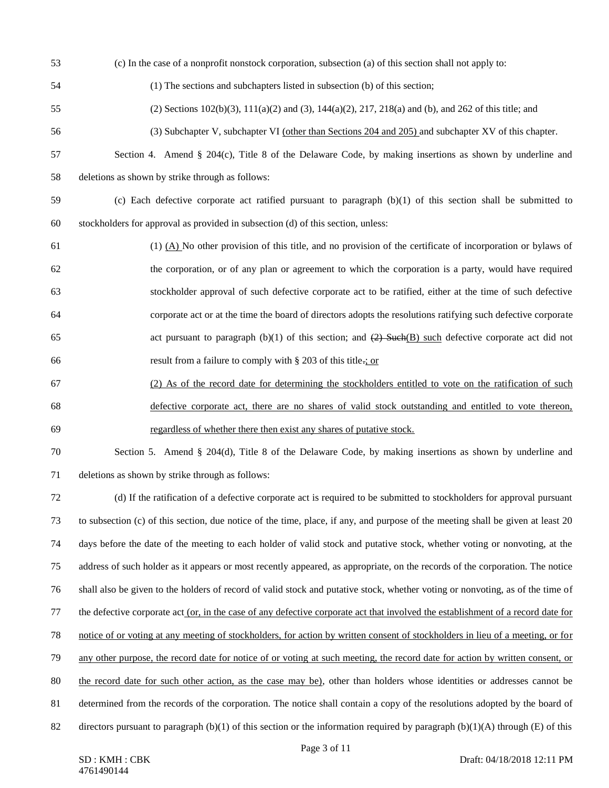(c) In the case of a nonprofit nonstock corporation, subsection (a) of this section shall not apply to: (1) The sections and subchapters listed in subsection (b) of this section; (2) Sections 102(b)(3), 111(a)(2) and (3), 144(a)(2), 217, 218(a) and (b), and 262 of this title; and 56 (3) Subchapter V, subchapter VI (other than Sections 204 and 205) and subchapter XV of this chapter. Section 4. Amend § 204(c), Title 8 of the Delaware Code, by making insertions as shown by underline and deletions as shown by strike through as follows: (c) Each defective corporate act ratified pursuant to paragraph (b)(1) of this section shall be submitted to stockholders for approval as provided in subsection (d) of this section, unless: 61 (1)  $(A)$  No other provision of this title, and no provision of the certificate of incorporation or bylaws of the corporation, or of any plan or agreement to which the corporation is a party, would have required stockholder approval of such defective corporate act to be ratified, either at the time of such defective corporate act or at the time the board of directors adopts the resolutions ratifying such defective corporate 65 act pursuant to paragraph (b)(1) of this section; and  $\left(2\right)$  Such defective corporate act did not result from a failure to comply with § 203 of this title.; or (2) As of the record date for determining the stockholders entitled to vote on the ratification of such defective corporate act, there are no shares of valid stock outstanding and entitled to vote thereon,

regardless of whether there then exist any shares of putative stock.

 Section 5. Amend § 204(d), Title 8 of the Delaware Code, by making insertions as shown by underline and deletions as shown by strike through as follows:

 (d) If the ratification of a defective corporate act is required to be submitted to stockholders for approval pursuant to subsection (c) of this section, due notice of the time, place, if any, and purpose of the meeting shall be given at least 20 days before the date of the meeting to each holder of valid stock and putative stock, whether voting or nonvoting, at the address of such holder as it appears or most recently appeared, as appropriate, on the records of the corporation. The notice shall also be given to the holders of record of valid stock and putative stock, whether voting or nonvoting, as of the time of 77 the defective corporate act (or, in the case of any defective corporate act that involved the establishment of a record date for notice of or voting at any meeting of stockholders, for action by written consent of stockholders in lieu of a meeting, or for any other purpose, the record date for notice of or voting at such meeting, the record date for action by written consent, or the record date for such other action, as the case may be), other than holders whose identities or addresses cannot be determined from the records of the corporation. The notice shall contain a copy of the resolutions adopted by the board of 82 directors pursuant to paragraph  $(b)(1)$  of this section or the information required by paragraph  $(b)(1)(A)$  through  $(E)$  of this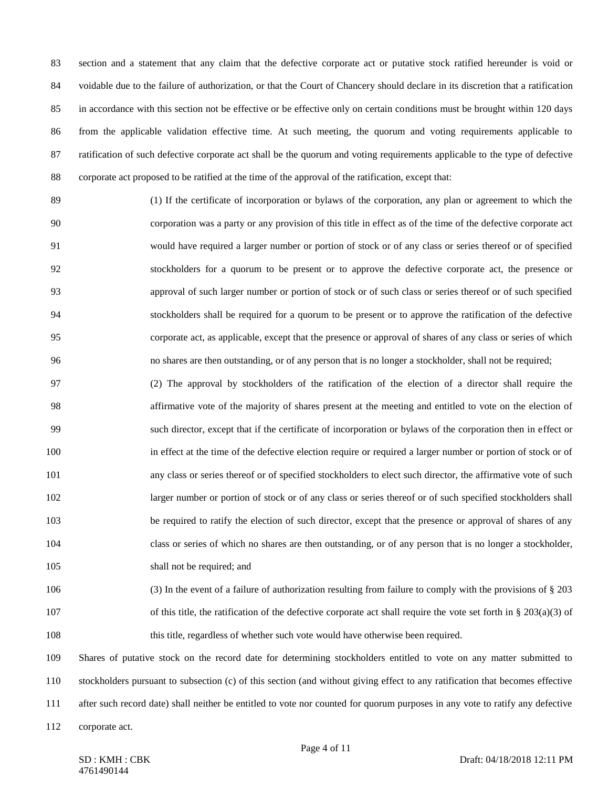section and a statement that any claim that the defective corporate act or putative stock ratified hereunder is void or voidable due to the failure of authorization, or that the Court of Chancery should declare in its discretion that a ratification in accordance with this section not be effective or be effective only on certain conditions must be brought within 120 days from the applicable validation effective time. At such meeting, the quorum and voting requirements applicable to ratification of such defective corporate act shall be the quorum and voting requirements applicable to the type of defective corporate act proposed to be ratified at the time of the approval of the ratification, except that:

 (1) If the certificate of incorporation or bylaws of the corporation, any plan or agreement to which the corporation was a party or any provision of this title in effect as of the time of the defective corporate act would have required a larger number or portion of stock or of any class or series thereof or of specified stockholders for a quorum to be present or to approve the defective corporate act, the presence or approval of such larger number or portion of stock or of such class or series thereof or of such specified stockholders shall be required for a quorum to be present or to approve the ratification of the defective corporate act, as applicable, except that the presence or approval of shares of any class or series of which no shares are then outstanding, or of any person that is no longer a stockholder, shall not be required;

 (2) The approval by stockholders of the ratification of the election of a director shall require the affirmative vote of the majority of shares present at the meeting and entitled to vote on the election of such director, except that if the certificate of incorporation or bylaws of the corporation then in effect or in effect at the time of the defective election require or required a larger number or portion of stock or of any class or series thereof or of specified stockholders to elect such director, the affirmative vote of such larger number or portion of stock or of any class or series thereof or of such specified stockholders shall be required to ratify the election of such director, except that the presence or approval of shares of any class or series of which no shares are then outstanding, or of any person that is no longer a stockholder, shall not be required; and

## (3) In the event of a failure of authorization resulting from failure to comply with the provisions of § 203 107 of this title, the ratification of the defective corporate act shall require the vote set forth in  $\S 203(a)(3)$  of this title, regardless of whether such vote would have otherwise been required.

 Shares of putative stock on the record date for determining stockholders entitled to vote on any matter submitted to stockholders pursuant to subsection (c) of this section (and without giving effect to any ratification that becomes effective after such record date) shall neither be entitled to vote nor counted for quorum purposes in any vote to ratify any defective

corporate act.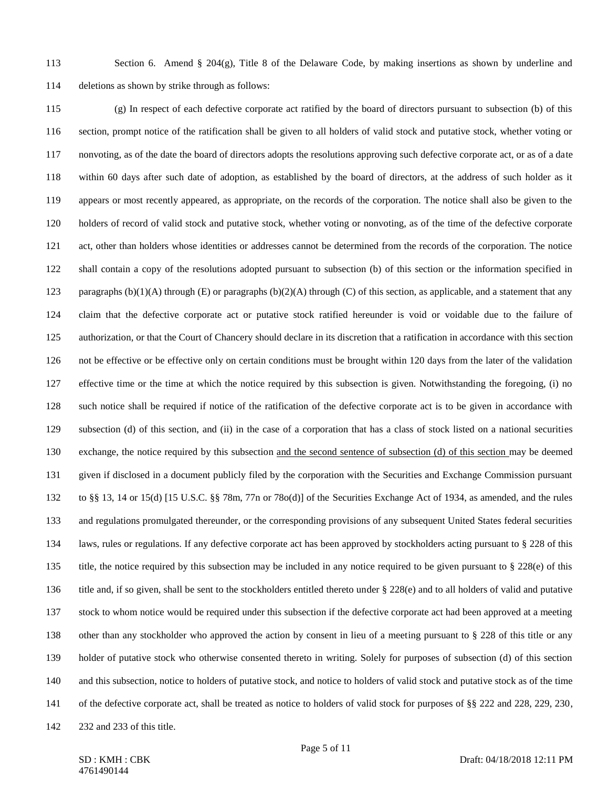113 Section 6. Amend § 204(g), Title 8 of the Delaware Code, by making insertions as shown by underline and deletions as shown by strike through as follows:

 (g) In respect of each defective corporate act ratified by the board of directors pursuant to subsection (b) of this section, prompt notice of the ratification shall be given to all holders of valid stock and putative stock, whether voting or nonvoting, as of the date the board of directors adopts the resolutions approving such defective corporate act, or as of a date within 60 days after such date of adoption, as established by the board of directors, at the address of such holder as it appears or most recently appeared, as appropriate, on the records of the corporation. The notice shall also be given to the holders of record of valid stock and putative stock, whether voting or nonvoting, as of the time of the defective corporate act, other than holders whose identities or addresses cannot be determined from the records of the corporation. The notice shall contain a copy of the resolutions adopted pursuant to subsection (b) of this section or the information specified in 123 paragraphs  $(b)(1)(A)$  through  $(E)$  or paragraphs  $(b)(2)(A)$  through  $(C)$  of this section, as applicable, and a statement that any claim that the defective corporate act or putative stock ratified hereunder is void or voidable due to the failure of authorization, or that the Court of Chancery should declare in its discretion that a ratification in accordance with this section not be effective or be effective only on certain conditions must be brought within 120 days from the later of the validation effective time or the time at which the notice required by this subsection is given. Notwithstanding the foregoing, (i) no such notice shall be required if notice of the ratification of the defective corporate act is to be given in accordance with subsection (d) of this section, and (ii) in the case of a corporation that has a class of stock listed on a national securities exchange, the notice required by this subsection and the second sentence of subsection (d) of this section may be deemed given if disclosed in a document publicly filed by the corporation with the Securities and Exchange Commission pursuant to §§ 13, 14 or 15(d) [15 U.S.C. §§ 78m, 77n or 78o(d)] of the Securities Exchange Act of 1934, as amended, and the rules and regulations promulgated thereunder, or the corresponding provisions of any subsequent United States federal securities laws, rules or regulations. If any defective corporate act has been approved by stockholders acting pursuant to § 228 of this title, the notice required by this subsection may be included in any notice required to be given pursuant to § 228(e) of this title and, if so given, shall be sent to the stockholders entitled thereto under § 228(e) and to all holders of valid and putative stock to whom notice would be required under this subsection if the defective corporate act had been approved at a meeting other than any stockholder who approved the action by consent in lieu of a meeting pursuant to § 228 of this title or any holder of putative stock who otherwise consented thereto in writing. Solely for purposes of subsection (d) of this section and this subsection, notice to holders of putative stock, and notice to holders of valid stock and putative stock as of the time of the defective corporate act, shall be treated as notice to holders of valid stock for purposes of §§ 222 and 228, 229, 230,

232 and 233 of this title.

SD : KMH : CBK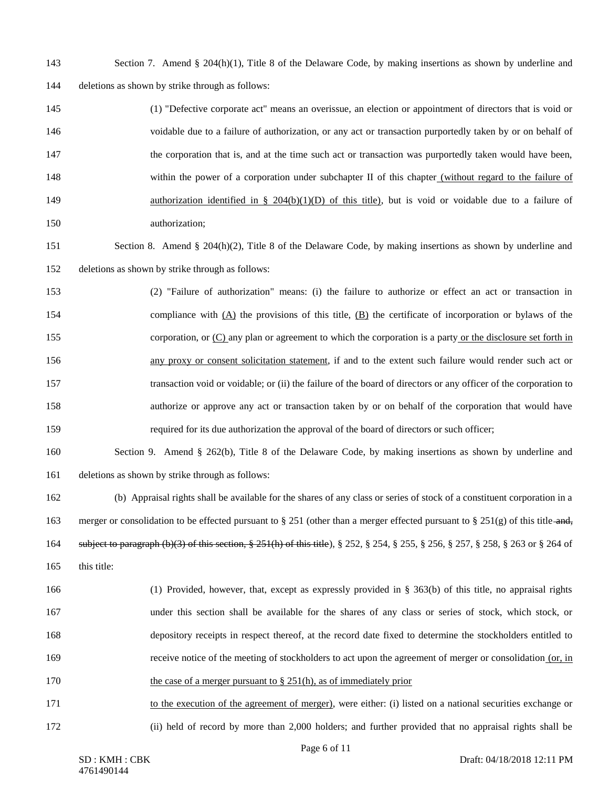Section 7. Amend § 204(h)(1), Title 8 of the Delaware Code, by making insertions as shown by underline and deletions as shown by strike through as follows:

- (1) "Defective corporate act" means an overissue, an election or appointment of directors that is void or voidable due to a failure of authorization, or any act or transaction purportedly taken by or on behalf of 147 the corporation that is, and at the time such act or transaction was purportedly taken would have been, within the power of a corporation under subchapter II of this chapter (without regard to the failure of 149 authorization identified in § 204(b)(1)(D) of this title), but is void or voidable due to a failure of authorization;
- Section 8. Amend § 204(h)(2), Title 8 of the Delaware Code, by making insertions as shown by underline and deletions as shown by strike through as follows:
- (2) "Failure of authorization" means: (i) the failure to authorize or effect an act or transaction in compliance with (A) the provisions of this title, (B) the certificate of incorporation or bylaws of the corporation, or (C) any plan or agreement to which the corporation is a party or the disclosure set forth in any proxy or consent solicitation statement, if and to the extent such failure would render such act or transaction void or voidable; or (ii) the failure of the board of directors or any officer of the corporation to authorize or approve any act or transaction taken by or on behalf of the corporation that would have required for its due authorization the approval of the board of directors or such officer;
- Section 9. Amend § 262(b), Title 8 of the Delaware Code, by making insertions as shown by underline and deletions as shown by strike through as follows:
- (b) Appraisal rights shall be available for the shares of any class or series of stock of a constituent corporation in a 163 merger or consolidation to be effected pursuant to  $\S 251$  (other than a merger effected pursuant to  $\S 251(g)$  of this title and, 164 subject to paragraph (b)(3) of this section, § 251(h) of this title), § 252, § 254, § 255, § 256, § 257, § 258, § 263 or § 264 of 165 this title:
- (1) Provided, however, that, except as expressly provided in § 363(b) of this title, no appraisal rights under this section shall be available for the shares of any class or series of stock, which stock, or depository receipts in respect thereof, at the record date fixed to determine the stockholders entitled to receive notice of the meeting of stockholders to act upon the agreement of merger or consolidation (or, in 170 the case of a merger pursuant to  $\S 251(h)$ , as of immediately prior
- to the execution of the agreement of merger), were either: (i) listed on a national securities exchange or
- (ii) held of record by more than 2,000 holders; and further provided that no appraisal rights shall be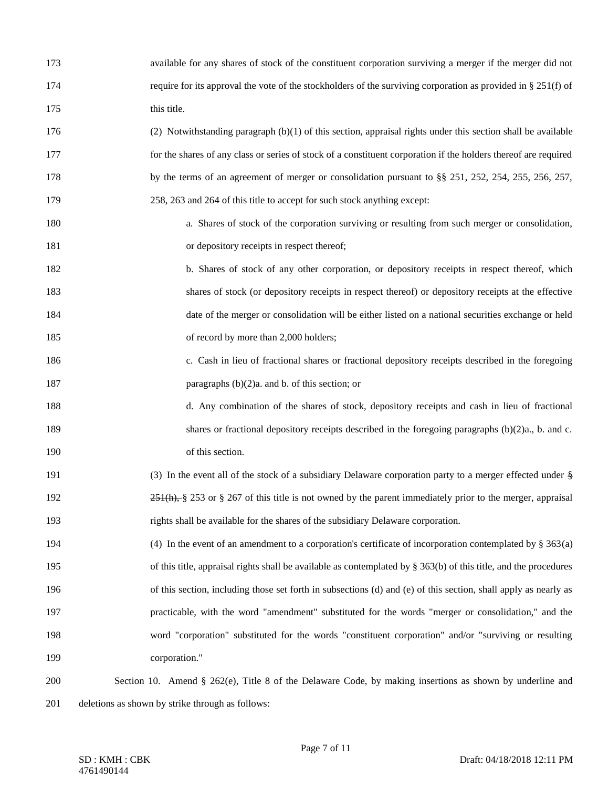- available for any shares of stock of the constituent corporation surviving a merger if the merger did not 174 require for its approval the vote of the stockholders of the surviving corporation as provided in § 251(f) of 175 this title.
- (2) Notwithstanding paragraph (b)(1) of this section, appraisal rights under this section shall be available 177 for the shares of any class or series of stock of a constituent corporation if the holders thereof are required by the terms of an agreement of merger or consolidation pursuant to §§ 251, 252, 254, 255, 256, 257, 258, 263 and 264 of this title to accept for such stock anything except:
- a. Shares of stock of the corporation surviving or resulting from such merger or consolidation, 181 or depository receipts in respect thereof;
- b. Shares of stock of any other corporation, or depository receipts in respect thereof, which shares of stock (or depository receipts in respect thereof) or depository receipts at the effective date of the merger or consolidation will be either listed on a national securities exchange or held 185 of record by more than 2,000 holders;
- c. Cash in lieu of fractional shares or fractional depository receipts described in the foregoing **paragraphs (b)(2)a. and b. of this section; or**
- d. Any combination of the shares of stock, depository receipts and cash in lieu of fractional shares or fractional depository receipts described in the foregoing paragraphs (b)(2)a., b. and c. of this section.
- 191 (3) In the event all of the stock of a subsidiary Delaware corporation party to a merger effected under  $\frac{1}{2}$ 192 251(h), § 253 or § 267 of this title is not owned by the parent immediately prior to the merger, appraisal rights shall be available for the shares of the subsidiary Delaware corporation.
- (4) In the event of an amendment to a corporation's certificate of incorporation contemplated by § 363(a) of this title, appraisal rights shall be available as contemplated by § 363(b) of this title, and the procedures of this section, including those set forth in subsections (d) and (e) of this section, shall apply as nearly as practicable, with the word "amendment" substituted for the words "merger or consolidation," and the word "corporation" substituted for the words "constituent corporation" and/or "surviving or resulting corporation."

 Section 10. Amend § 262(e), Title 8 of the Delaware Code, by making insertions as shown by underline and deletions as shown by strike through as follows: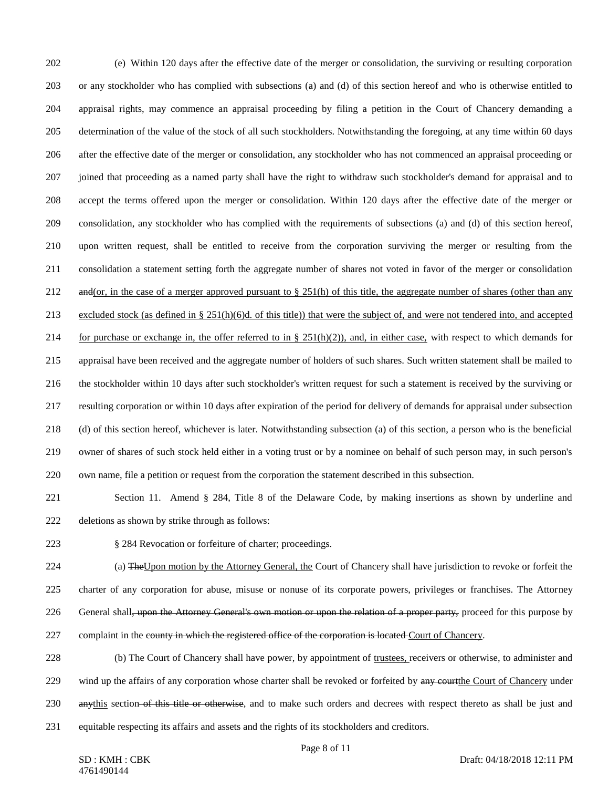(e) Within 120 days after the effective date of the merger or consolidation, the surviving or resulting corporation or any stockholder who has complied with subsections (a) and (d) of this section hereof and who is otherwise entitled to appraisal rights, may commence an appraisal proceeding by filing a petition in the Court of Chancery demanding a determination of the value of the stock of all such stockholders. Notwithstanding the foregoing, at any time within 60 days after the effective date of the merger or consolidation, any stockholder who has not commenced an appraisal proceeding or joined that proceeding as a named party shall have the right to withdraw such stockholder's demand for appraisal and to accept the terms offered upon the merger or consolidation. Within 120 days after the effective date of the merger or consolidation, any stockholder who has complied with the requirements of subsections (a) and (d) of this section hereof, upon written request, shall be entitled to receive from the corporation surviving the merger or resulting from the consolidation a statement setting forth the aggregate number of shares not voted in favor of the merger or consolidation 212 and (or, in the case of a merger approved pursuant to  $\S$  251(h) of this title, the aggregate number of shares (other than any excluded stock (as defined in § 251(h)(6)d. of this title)) that were the subject of, and were not tendered into, and accepted 214 for purchase or exchange in, the offer referred to in § 251(h)(2)), and, in either case, with respect to which demands for appraisal have been received and the aggregate number of holders of such shares. Such written statement shall be mailed to the stockholder within 10 days after such stockholder's written request for such a statement is received by the surviving or resulting corporation or within 10 days after expiration of the period for delivery of demands for appraisal under subsection (d) of this section hereof, whichever is later. Notwithstanding subsection (a) of this section, a person who is the beneficial owner of shares of such stock held either in a voting trust or by a nominee on behalf of such person may, in such person's own name, file a petition or request from the corporation the statement described in this subsection.

- Section 11. Amend § 284, Title 8 of the Delaware Code, by making insertions as shown by underline and deletions as shown by strike through as follows:
- § 284 Revocation or forfeiture of charter; proceedings.
- 224 (a) The Upon motion by the Attorney General, the Court of Chancery shall have jurisdiction to revoke or forfeit the charter of any corporation for abuse, misuse or nonuse of its corporate powers, privileges or franchises. The Attorney 226 General shall<del>, upon the Attorney General's own motion or upon the relation of a proper party,</del> proceed for this purpose by 227 complaint in the county in which the registered office of the corporation is located Court of Chancery.
- (b) The Court of Chancery shall have power, by appointment of trustees, receivers or otherwise, to administer and 229 wind up the affairs of any corporation whose charter shall be revoked or forfeited by any court of Chancery under 230 anythis section of this title or otherwise, and to make such orders and decrees with respect thereto as shall be just and equitable respecting its affairs and assets and the rights of its stockholders and creditors.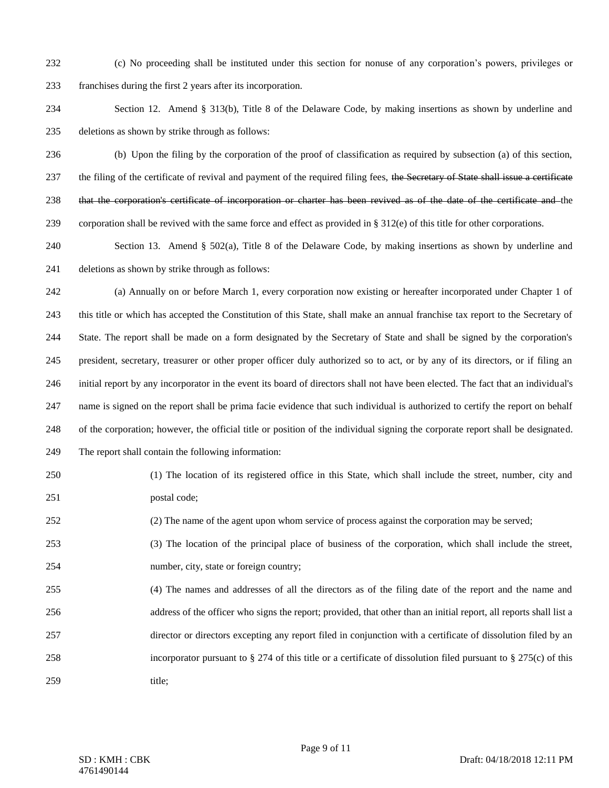- (c) No proceeding shall be instituted under this section for nonuse of any corporation's powers, privileges or franchises during the first 2 years after its incorporation.
- Section 12. Amend § 313(b), Title 8 of the Delaware Code, by making insertions as shown by underline and deletions as shown by strike through as follows:
- (b) Upon the filing by the corporation of the proof of classification as required by subsection (a) of this section, 237 the filing of the certificate of revival and payment of the required filing fees, the Secretary of State shall issue a certificate 238 that the corporation's certificate of incorporation or charter has been revived as of the date of the certificate and the
- corporation shall be revived with the same force and effect as provided in § 312(e) of this title for other corporations.
- Section 13. Amend § 502(a), Title 8 of the Delaware Code, by making insertions as shown by underline and deletions as shown by strike through as follows:
- (a) Annually on or before March 1, every corporation now existing or hereafter incorporated under Chapter 1 of this title or which has accepted the Constitution of this State, shall make an annual franchise tax report to the Secretary of State. The report shall be made on a form designated by the Secretary of State and shall be signed by the corporation's president, secretary, treasurer or other proper officer duly authorized so to act, or by any of its directors, or if filing an initial report by any incorporator in the event its board of directors shall not have been elected. The fact that an individual's name is signed on the report shall be prima facie evidence that such individual is authorized to certify the report on behalf of the corporation; however, the official title or position of the individual signing the corporate report shall be designated. The report shall contain the following information:
- (1) The location of its registered office in this State, which shall include the street, number, city and postal code;
- (2) The name of the agent upon whom service of process against the corporation may be served;
- (3) The location of the principal place of business of the corporation, which shall include the street, number, city, state or foreign country;
- (4) The names and addresses of all the directors as of the filing date of the report and the name and address of the officer who signs the report; provided, that other than an initial report, all reports shall list a director or directors excepting any report filed in conjunction with a certificate of dissolution filed by an incorporator pursuant to § 274 of this title or a certificate of dissolution filed pursuant to § 275(c) of this 259 title: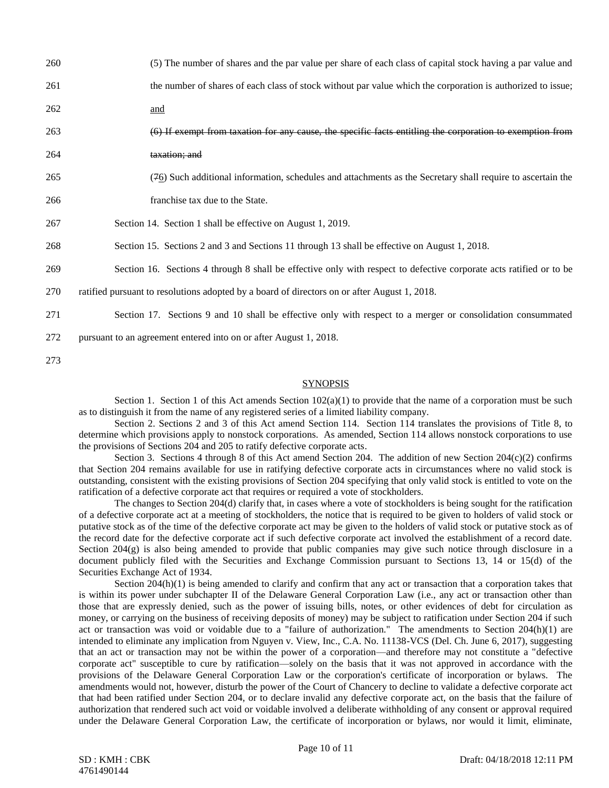| 260 | (5) The number of shares and the par value per share of each class of capital stock having a par value and          |
|-----|---------------------------------------------------------------------------------------------------------------------|
| 261 | the number of shares of each class of stock without par value which the corporation is authorized to issue;         |
| 262 | and                                                                                                                 |
| 263 | (6) If exempt from taxation for any cause, the specific facts entitling the corporation to exemption from           |
| 264 | taxation: and                                                                                                       |
| 265 | (76) Such additional information, schedules and attachments as the Secretary shall require to ascertain the         |
| 266 | franchise tax due to the State.                                                                                     |
| 267 | Section 14. Section 1 shall be effective on August 1, 2019.                                                         |
| 268 | Section 15. Sections 2 and 3 and Sections 11 through 13 shall be effective on August 1, 2018.                       |
| 269 | Section 16. Sections 4 through 8 shall be effective only with respect to defective corporate acts ratified or to be |
| 270 | ratified pursuant to resolutions adopted by a board of directors on or after August 1, 2018.                        |
| 271 | Section 17. Sections 9 and 10 shall be effective only with respect to a merger or consolidation consummated         |
| 272 | pursuant to an agreement entered into on or after August 1, 2018.                                                   |
| 273 |                                                                                                                     |

**SYNOPSIS** 

Section 1. Section 1 of this Act amends Section  $102(a)(1)$  to provide that the name of a corporation must be such as to distinguish it from the name of any registered series of a limited liability company.

Section 2. Sections 2 and 3 of this Act amend Section 114. Section 114 translates the provisions of Title 8, to determine which provisions apply to nonstock corporations. As amended, Section 114 allows nonstock corporations to use the provisions of Sections 204 and 205 to ratify defective corporate acts.

Section 3. Sections 4 through 8 of this Act amend Section 204. The addition of new Section 204(c)(2) confirms that Section 204 remains available for use in ratifying defective corporate acts in circumstances where no valid stock is outstanding, consistent with the existing provisions of Section 204 specifying that only valid stock is entitled to vote on the ratification of a defective corporate act that requires or required a vote of stockholders.

The changes to Section 204(d) clarify that, in cases where a vote of stockholders is being sought for the ratification of a defective corporate act at a meeting of stockholders, the notice that is required to be given to holders of valid stock or putative stock as of the time of the defective corporate act may be given to the holders of valid stock or putative stock as of the record date for the defective corporate act if such defective corporate act involved the establishment of a record date. Section 204(g) is also being amended to provide that public companies may give such notice through disclosure in a document publicly filed with the Securities and Exchange Commission pursuant to Sections 13, 14 or 15(d) of the Securities Exchange Act of 1934.

Section 204(h)(1) is being amended to clarify and confirm that any act or transaction that a corporation takes that is within its power under subchapter II of the Delaware General Corporation Law (i.e., any act or transaction other than those that are expressly denied, such as the power of issuing bills, notes, or other evidences of debt for circulation as money, or carrying on the business of receiving deposits of money) may be subject to ratification under Section 204 if such act or transaction was void or voidable due to a "failure of authorization." The amendments to Section 204(h)(1) are intended to eliminate any implication from Nguyen v. View, Inc., C.A. No. 11138-VCS (Del. Ch. June 6, 2017), suggesting that an act or transaction may not be within the power of a corporation—and therefore may not constitute a "defective corporate act" susceptible to cure by ratification—solely on the basis that it was not approved in accordance with the provisions of the Delaware General Corporation Law or the corporation's certificate of incorporation or bylaws. The amendments would not, however, disturb the power of the Court of Chancery to decline to validate a defective corporate act that had been ratified under Section 204, or to declare invalid any defective corporate act, on the basis that the failure of authorization that rendered such act void or voidable involved a deliberate withholding of any consent or approval required under the Delaware General Corporation Law, the certificate of incorporation or bylaws, nor would it limit, eliminate,